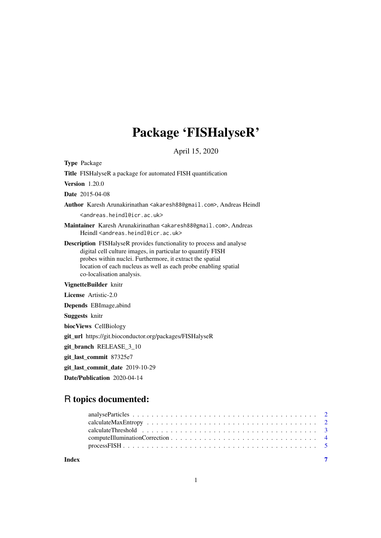# Package 'FISHalyseR'

April 15, 2020

Type Package

Title FISHalyseR a package for automated FISH quantification

Version 1.20.0

Date 2015-04-08

Author Karesh Arunakirinathan <akaresh88@gmail.com>, Andreas Heindl <andreas.heindl@icr.ac.uk>

Maintainer Karesh Arunakirinathan <akaresh88@gmail.com>, Andreas Heindl <andreas.heindl@icr.ac.uk>

Description FISHalyseR provides functionality to process and analyse digital cell culture images, in particular to quantify FISH probes within nuclei. Furthermore, it extract the spatial location of each nucleus as well as each probe enabling spatial co-localisation analysis.

# VignetteBuilder knitr

License Artistic-2.0

Depends EBImage,abind

Suggests knitr

biocViews CellBiology

git\_url https://git.bioconductor.org/packages/FISHalyseR

git\_branch RELEASE\_3\_10

git\_last\_commit 87325e7

git\_last\_commit\_date 2019-10-29

Date/Publication 2020-04-14

# R topics documented:

**Index** [7](#page-6-0)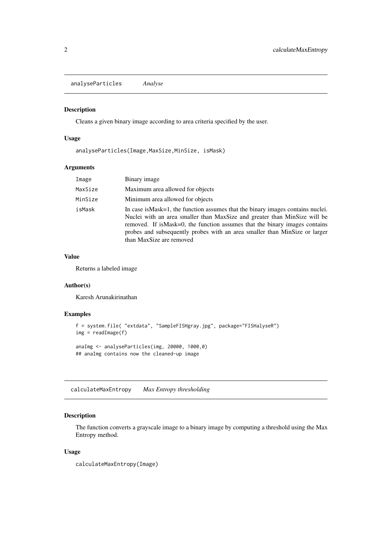<span id="page-1-0"></span>analyseParticles *Analyse*

#### Description

Cleans a given binary image according to area criteria specified by the user.

# Usage

```
analyseParticles(Image,MaxSize,MinSize, isMask)
```
# Arguments

| Image   | Binary image                                                                                                                                                                                                                                                                                                                                            |
|---------|---------------------------------------------------------------------------------------------------------------------------------------------------------------------------------------------------------------------------------------------------------------------------------------------------------------------------------------------------------|
| MaxSize | Maximum area allowed for objects                                                                                                                                                                                                                                                                                                                        |
| MinSize | Minimum area allowed for objects                                                                                                                                                                                                                                                                                                                        |
| isMask  | In case is Mask = 1, the function assumes that the binary images contains nuclei.<br>Nuclei with an area smaller than MaxSize and greater than MinSize will be<br>removed. If is Mask=0, the function assumes that the binary images contains<br>probes and subsequently probes with an area smaller than MinSize or larger<br>than MaxSize are removed |

## Value

Returns a labeled image

#### Author(s)

Karesh Arunakirinathan

#### Examples

```
f = system.file( "extdata", "SampleFISHgray.jpg", package="FISHalyseR")
img = readImage(f)anaImg <- analyseParticles(img, 20000, 1000,0)
## anaImg contains now the cleaned-up image
```
calculateMaxEntropy *Max Entropy thresholding*

# Description

The function converts a grayscale image to a binary image by computing a threshold using the Max Entropy method.

# Usage

```
calculateMaxEntropy(Image)
```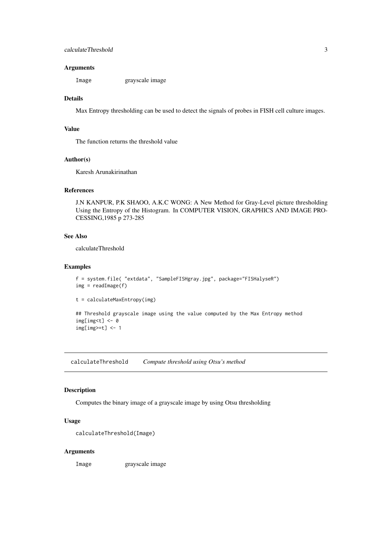#### <span id="page-2-0"></span>Arguments

Image grayscale image

#### Details

Max Entropy thresholding can be used to detect the signals of probes in FISH cell culture images.

#### Value

The function returns the threshold value

# Author(s)

Karesh Arunakirinathan

#### References

J.N KANPUR, P.K SHAOO, A.K.C WONG: A New Method for Gray-Level picture thresholding Using the Entropy of the Histogram. In COMPUTER VISION, GRAPHICS AND IMAGE PRO-CESSING,1985 p 273-285

# See Also

calculateThreshold

#### Examples

```
f = system.file( "extdata", "SampleFISHgray.jpg", package="FISHalyseR")
img = readImage(f)
```

```
t = calculateMaxEntropy(img)
```

```
## Threshold grayscale image using the value computed by the Max Entropy method
img[img< t] < -0img[img>=t] < -1
```
calculateThreshold *Compute threshold using Otsu's method*

#### Description

Computes the binary image of a grayscale image by using Otsu thresholding

#### Usage

```
calculateThreshold(Image)
```
# Arguments

Image grayscale image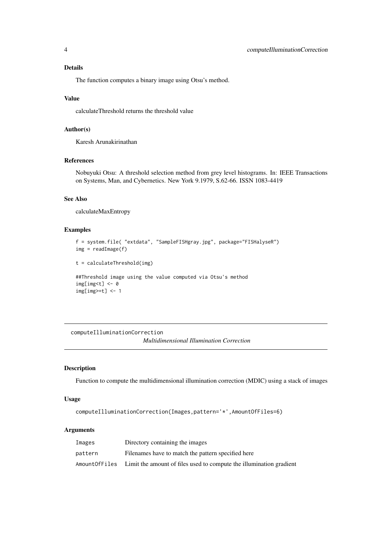#### <span id="page-3-0"></span>Details

The function computes a binary image using Otsu's method.

# Value

calculateThreshold returns the threshold value

# Author(s)

Karesh Arunakirinathan

# References

Nobuyuki Otsu: A threshold selection method from grey level histograms. In: IEEE Transactions on Systems, Man, and Cybernetics. New York 9.1979, S.62-66. ISSN 1083-4419

#### See Also

calculateMaxEntropy

# Examples

```
f = system.file( "extdata", "SampleFISHgray.jpg", package="FISHalyseR")
img = readImage(f)t = calculateThreshold(img)
```

```
##Threshold image using the value computed via Otsu's method
img[img< t] < -0img[img>=t] < -1
```
computeIlluminationCorrection

*Multidimensional Illumination Correction*

# Description

Function to compute the multidimensional illumination correction (MDIC) using a stack of images

#### Usage

```
computeIlluminationCorrection(Images,pattern='*',AmountOfFiles=6)
```
#### Arguments

| Images  | Directory containing the images                                                    |
|---------|------------------------------------------------------------------------------------|
| pattern | Filenames have to match the pattern specified here                                 |
|         | Amount Offiles Limit the amount of files used to compute the illumination gradient |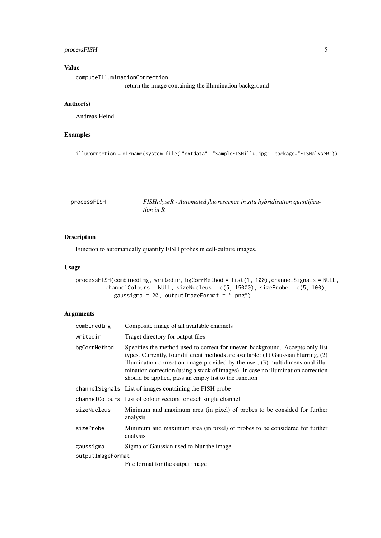#### <span id="page-4-0"></span>processFISH 5

# Value

computeIlluminationCorrection return the image containing the illumination background

# Author(s)

Andreas Heindl

# Examples

illuCorrection = dirname(system.file( "extdata", "SampleFISHillu.jpg", package="FISHalyseR"))

| processFISH | FISHalyseR - Automated fluorescence in situ hybridisation quantifica- |
|-------------|-----------------------------------------------------------------------|
|             | tion in $R$                                                           |

# Description

Function to automatically quantify FISH probes in cell-culture images.

# Usage

processFISH(combinedImg, writedir, bgCorrMethod = list(1, 100),channelSignals = NULL, channelColours = NULL, sizeNucleus =  $c(5, 15000)$ , sizeProbe =  $c(5, 100)$ , gaussigma = 20, outputImageFormat = ".png")

### Arguments

| combinedImg       | Composite image of all available channels                                                                                                                                                                                                                                                                                                                                                           |
|-------------------|-----------------------------------------------------------------------------------------------------------------------------------------------------------------------------------------------------------------------------------------------------------------------------------------------------------------------------------------------------------------------------------------------------|
| writedir          | Traget directory for output files                                                                                                                                                                                                                                                                                                                                                                   |
| bgCorrMethod      | Specifies the method used to correct for uneven background. Accepts only list<br>types. Currently, four different methods are available: (1) Gaussian blurring, (2)<br>Illumination correction image provided by the user, (3) multidimensional illu-<br>mination correction (using a stack of images). In case no illumination correction<br>should be applied, pass an empty list to the function |
|                   | channel Signals List of images containing the FISH probe                                                                                                                                                                                                                                                                                                                                            |
|                   | channel Colours List of colour vectors for each single channel                                                                                                                                                                                                                                                                                                                                      |
| sizeNucleus       | Minimum and maximum area (in pixel) of probes to be consided for further<br>analysis                                                                                                                                                                                                                                                                                                                |
| sizeProbe         | Minimum and maximum area (in pixel) of probes to be considered for further<br>analysis                                                                                                                                                                                                                                                                                                              |
| gaussigma         | Sigma of Gaussian used to blur the image                                                                                                                                                                                                                                                                                                                                                            |
| outputImageFormat |                                                                                                                                                                                                                                                                                                                                                                                                     |
|                   | File format for the output image.                                                                                                                                                                                                                                                                                                                                                                   |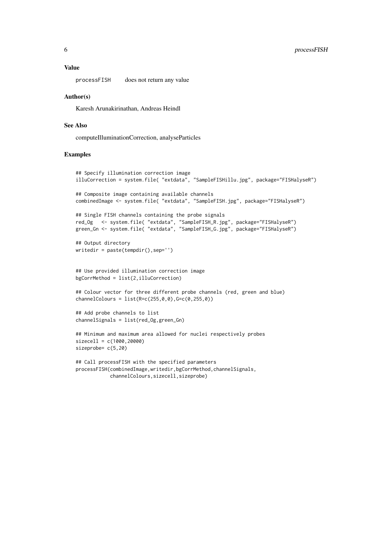#### 6 processFISH

### Value

processFISH does not return any value

#### Author(s)

Karesh Arunakirinathan, Andreas Heindl

#### See Also

computeIlluminationCorrection, analyseParticles

#### Examples

```
## Specify illumination correction image
illuCorrection = system.file( "extdata", "SampleFISHillu.jpg", package="FISHalyseR")
## Composite image containing available channels
combinedImage <- system.file( "extdata", "SampleFISH.jpg", package="FISHalyseR")
## Single FISH channels containing the probe signals
red_Og <- system.file( "extdata", "SampleFISH_R.jpg", package="FISHalyseR")
green_Gn <- system.file( "extdata", "SampleFISH_G.jpg", package="FISHalyseR")
## Output directory
writedir = paste(tempdir(),sep='')
## Use provided illumination correction image
bgCorrMethod = list(2,illuCorrection)
## Colour vector for three different probe channels (red, green and blue)
channelColours = list(R=c(255, 0, 0), G=c(0, 255, 0)## Add probe channels to list
channelSignals = list(red_Og,green_Gn)
## Minimum and maximum area allowed for nuclei respectively probes
sizecell = c(1000, 20000)sizeprobe= c(5,20)
## Call processFISH with the specified parameters
```

```
processFISH(combinedImage,writedir,bgCorrMethod,channelSignals,
            channelColours,sizecell,sizeprobe)
```